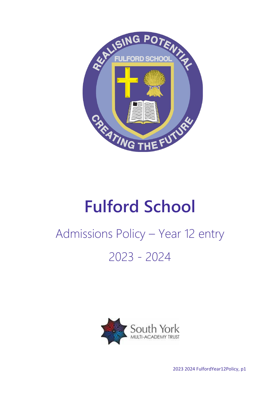

# **Fulford School**

# Admissions Policy – Year 12 entry 2023 - 2024



2023 2024 FulfordYear12Policy, p1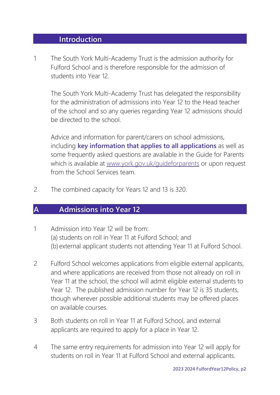#### **Introduction**

1 The South York Multi-Academy Trust is the admission authority for Fulford School and is therefore responsible for the admission of students into Year 12.

The South York Multi-Academy Trust has delegated the responsibility for the administration of admissions into Year 12 to the Head teacher of the school and so any queries regarding Year 12 admissions should be directed to the school.

Advice and information for parent/carers on school admissions, including **key information that applies to all applications** as well as some frequently asked questions are available in the Guide for Parents which is available at [www.york.gov.uk/guideforparents](http://www.york.gov.uk/guideforparents) or upon request from the School Services team.

2 The combined capacity for Years 12 and 13 is 320.

### **A Admissions into Year 12**

- 1 Admission into Year 12 will be from: (a) students on roll in Year 11 at Fulford School; and (b) external applicant students not attending Year 11 at Fulford School.
- 2 Fulford School welcomes applications from eligible external applicants, and where applications are received from those not already on roll in Year 11 at the school, the school will admit eligible external students to Year 12. The published admission number for Year 12 is 35 students, though wherever possible additional students may be offered places on available courses.
- 3 Both students on roll in Year 11 at Fulford School, and external applicants are required to apply for a place in Year 12.
- 4 The same entry requirements for admission into Year 12 will apply for students on roll in Year 11 at Fulford School and external applicants.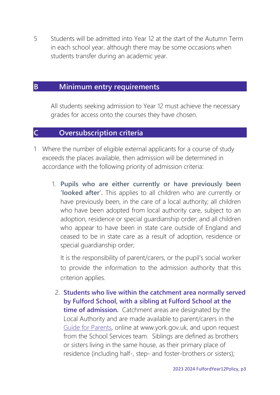5 Students will be admitted into Year 12 at the start of the Autumn Term in each school year, although there may be some occasions when students transfer during an academic year.

## **B Minimum entry requirements**

All students seeking admission to Year 12 must achieve the necessary grades for access onto the courses they have chosen.

## **C Oversubscription criteria**

- 1 Where the number of eligible external applicants for a course of study exceeds the places available, then admission will be determined in accordance with the following priority of admission criteria:
	- 1. **Pupils who are either currently or have previously been 'looked after'.** This applies to all children who are currently or have previously been, in the care of a local authority; all children who have been adopted from local authority care, subject to an adoption, residence or special guardianship order; and all children who appear to have been in state care outside of England and ceased to be in state care as a result of adoption, residence or special guardianship order;

It is the responsibility of parent/carers, or the pupil's social worker to provide the information to the admission authority that this criterion applies.

2. **Students who live within the catchment area normally served by Fulford School, with a sibling at Fulford School at the time of admission.** Catchment areas are designated by the Local Authority and are made available to parent/carers in the [Guide for Parents,](http://www.york.gov.uk/guideforparents) online at www.york.gov.uk, and upon request from the School Services team. Siblings are defined as brothers or sisters living in the same house, as their primary place of residence (including half-, step- and foster-brothers or sisters);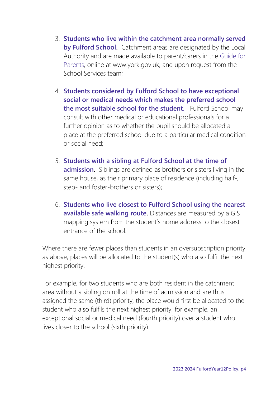- 3. **Students who live within the catchment area normally served by Fulford School.** Catchment areas are designated by the Local Authority and are made available to parent/carers in the [Guide for](http://www.york.gov.uk/guideforparents)  [Parents,](http://www.york.gov.uk/guideforparents) online at www.york.gov.uk, and upon request from the School Services team;
- 4. **Students considered by Fulford School to have exceptional social or medical needs which makes the preferred school the most suitable school for the student.** Fulford School may consult with other medical or educational professionals for a further opinion as to whether the pupil should be allocated a place at the preferred school due to a particular medical condition or social need;
- 5. **Students with a sibling at Fulford School at the time of admission.** Siblings are defined as brothers or sisters living in the same house, as their primary place of residence (including half-, step- and foster-brothers or sisters);
- 6. **Students who live closest to Fulford School using the nearest available safe walking route.** Distances are measured by a GIS mapping system from the student's home address to the closest entrance of the school.

Where there are fewer places than students in an oversubscription priority as above, places will be allocated to the student(s) who also fulfil the next highest priority.

For example, for two students who are both resident in the catchment area without a sibling on roll at the time of admission and are thus assigned the same (third) priority, the place would first be allocated to the student who also fulfils the next highest priority, for example, an exceptional social or medical need (fourth priority) over a student who lives closer to the school (sixth priority).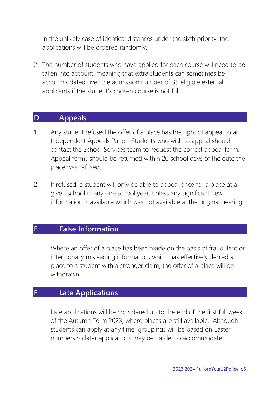In the unlikely case of identical distances under the sixth priority, the applications will be ordered randomly.

2 The number of students who have applied for each course will need to be taken into account, meaning that extra students can sometimes be accommodated over the admission number of 35 eligible external applicants if the student's chosen course is not full.

#### **D Appeals**

- 1 Any student refused the offer of a place has the right of appeal to an Independent Appeals Panel. Students who wish to appeal should contact the School Services team to request the correct appeal form. Appeal forms should be returned within 20 school days of the date the place was refused.
- 2 If refused, a student will only be able to appeal once for a place at a given school in any one school year, unless any significant new information is available which was not available at the original hearing.

### **E False Information**

Where an offer of a place has been made on the basis of fraudulent or intentionally misleading information, which has effectively denied a place to a student with a stronger claim, the offer of a place will be withdrawn.

## **F Late Applications**

Late applications will be considered up to the end of the first full week of the Autumn Term 2023, where places are still available. Although students can apply at any time, groupings will be based on Easter numbers so later applications may be harder to accommodate.